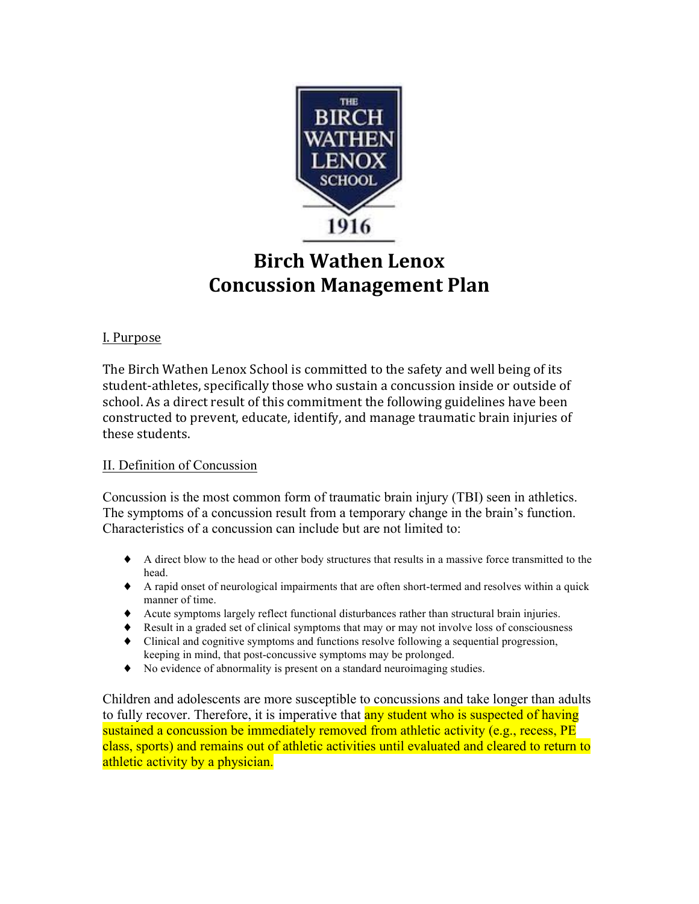

## **Birch Wathen Lenox Concussion Management Plan**

#### I. Purpose

The Birch Wathen Lenox School is committed to the safety and well being of its student-athletes, specifically those who sustain a concussion inside or outside of school. As a direct result of this commitment the following guidelines have been constructed to prevent, educate, identify, and manage traumatic brain injuries of these students.

#### II. Definition of Concussion

Concussion is the most common form of traumatic brain injury (TBI) seen in athletics. The symptoms of a concussion result from a temporary change in the brain's function. Characteristics of a concussion can include but are not limited to:

- ♦ A direct blow to the head or other body structures that results in a massive force transmitted to the head.
- ♦ A rapid onset of neurological impairments that are often short-termed and resolves within a quick manner of time.
- ♦ Acute symptoms largely reflect functional disturbances rather than structural brain injuries.
- ♦ Result in a graded set of clinical symptoms that may or may not involve loss of consciousness
- ♦ Clinical and cognitive symptoms and functions resolve following a sequential progression, keeping in mind, that post-concussive symptoms may be prolonged.
- ♦ No evidence of abnormality is present on a standard neuroimaging studies.

Children and adolescents are more susceptible to concussions and take longer than adults to fully recover. Therefore, it is imperative that any student who is suspected of having sustained a concussion be immediately removed from athletic activity (e.g., recess, PE class, sports) and remains out of athletic activities until evaluated and cleared to return to athletic activity by a physician.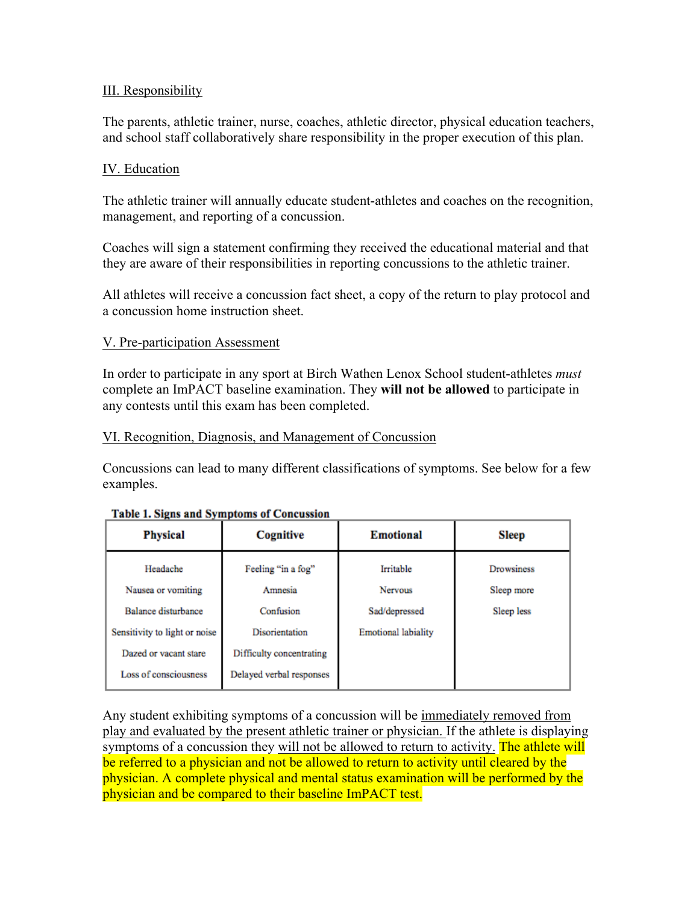#### III. Responsibility

The parents, athletic trainer, nurse, coaches, athletic director, physical education teachers, and school staff collaboratively share responsibility in the proper execution of this plan.

#### IV. Education

The athletic trainer will annually educate student-athletes and coaches on the recognition, management, and reporting of a concussion.

Coaches will sign a statement confirming they received the educational material and that they are aware of their responsibilities in reporting concussions to the athletic trainer.

All athletes will receive a concussion fact sheet, a copy of the return to play protocol and a concussion home instruction sheet.

#### V. Pre-participation Assessment

In order to participate in any sport at Birch Wathen Lenox School student-athletes *must* complete an ImPACT baseline examination. They **will not be allowed** to participate in any contests until this exam has been completed.

#### VI. Recognition, Diagnosis, and Management of Concussion

Concussions can lead to many different classifications of symptoms. See below for a few examples.

| <b>Physical</b>               | Cognitive                | <b>Emotional</b>           | Sleep             |
|-------------------------------|--------------------------|----------------------------|-------------------|
| Headache                      | Feeling "in a fog"       | Irritable                  | <b>Drowsiness</b> |
| Nausea or vomiting            | Amnesia                  | <b>Nervous</b>             | Sleep more        |
| <b>Balance disturbance</b>    | Confusion                | Sad/depressed              | Sleep less        |
| Sensitivity to light or noise | Disorientation           | <b>Emotional labiality</b> |                   |
| Dazed or vacant stare         | Difficulty concentrating |                            |                   |
| Loss of consciousness         | Delayed verbal responses |                            |                   |

#### Table 1. Signs and Symptoms of Concussion

Any student exhibiting symptoms of a concussion will be immediately removed from play and evaluated by the present athletic trainer or physician. If the athlete is displaying symptoms of a concussion they will not be allowed to return to activity. The athlete will be referred to a physician and not be allowed to return to activity until cleared by the physician. A complete physical and mental status examination will be performed by the physician and be compared to their baseline ImPACT test.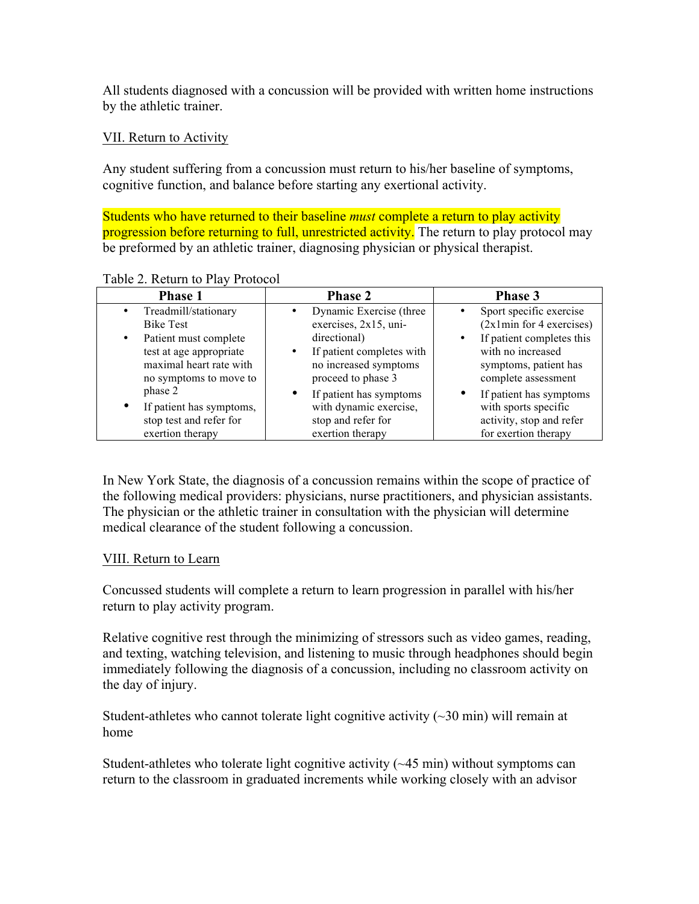All students diagnosed with a concussion will be provided with written home instructions by the athletic trainer.

#### VII. Return to Activity

Any student suffering from a concussion must return to his/her baseline of symptoms, cognitive function, and balance before starting any exertional activity.

Students who have returned to their baseline *must* complete a return to play activity progression before returning to full, unrestricted activity. The return to play protocol may be preformed by an athletic trainer, diagnosing physician or physical therapist.

| $1400 \times 2$ . Evenin to 1 keV 1 follocof                                                                                                                   |                                                                                                                                              |                                                                                                                                                       |  |  |  |
|----------------------------------------------------------------------------------------------------------------------------------------------------------------|----------------------------------------------------------------------------------------------------------------------------------------------|-------------------------------------------------------------------------------------------------------------------------------------------------------|--|--|--|
| <b>Phase 1</b>                                                                                                                                                 | <b>Phase 2</b>                                                                                                                               | <b>Phase 3</b>                                                                                                                                        |  |  |  |
| Treadmill/stationary<br><b>Bike Test</b><br>Patient must complete<br>$\bullet$<br>test at age appropriate<br>maximal heart rate with<br>no symptoms to move to | Dynamic Exercise (three<br>exercises, 2x15, uni-<br>directional)<br>If patient completes with<br>no increased symptoms<br>proceed to phase 3 | Sport specific exercise<br>(2x1min for 4 exercises)<br>If patient completes this<br>with no increased<br>symptoms, patient has<br>complete assessment |  |  |  |
| phase 2<br>If patient has symptoms,<br>٠<br>stop test and refer for<br>exertion therapy                                                                        | If patient has symptoms<br>$\bullet$<br>with dynamic exercise,<br>stop and refer for<br>exertion therapy                                     | If patient has symptoms<br>with sports specific<br>activity, stop and refer<br>for exertion therapy                                                   |  |  |  |

Table 2. Return to Play Protocol

In New York State, the diagnosis of a concussion remains within the scope of practice of the following medical providers: physicians, nurse practitioners, and physician assistants. The physician or the athletic trainer in consultation with the physician will determine medical clearance of the student following a concussion.

#### VIII. Return to Learn

Concussed students will complete a return to learn progression in parallel with his/her return to play activity program.

Relative cognitive rest through the minimizing of stressors such as video games, reading, and texting, watching television, and listening to music through headphones should begin immediately following the diagnosis of a concussion, including no classroom activity on the day of injury.

Student-athletes who cannot tolerate light cognitive activity  $(\sim]30 \text{ min}$ ) will remain at home

Student-athletes who tolerate light cognitive activity  $(\sim 45 \text{ min})$  without symptoms can return to the classroom in graduated increments while working closely with an advisor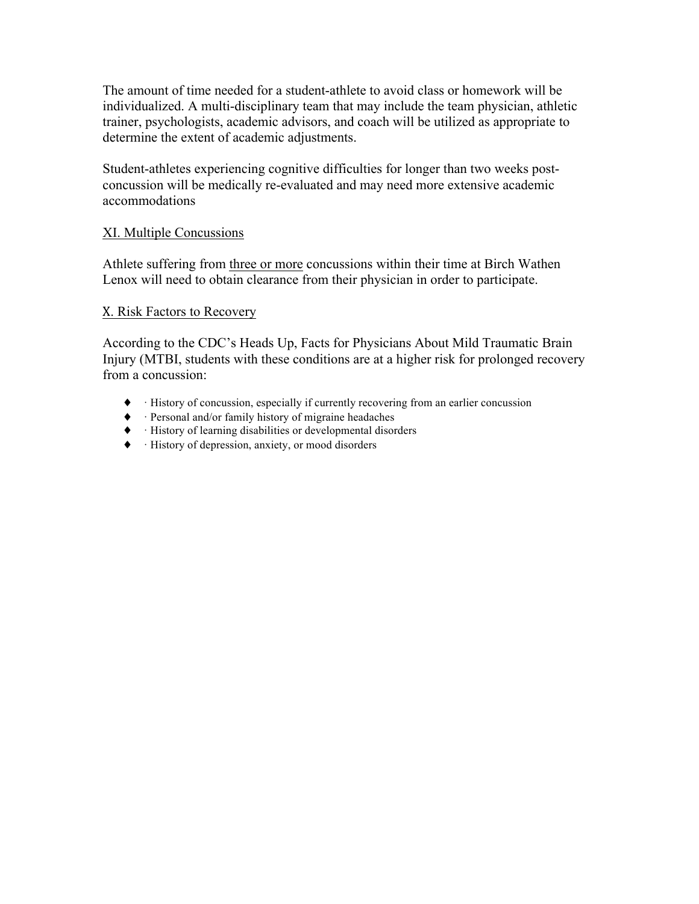The amount of time needed for a student-athlete to avoid class or homework will be individualized. A multi-disciplinary team that may include the team physician, athletic trainer, psychologists, academic advisors, and coach will be utilized as appropriate to determine the extent of academic adjustments.

Student-athletes experiencing cognitive difficulties for longer than two weeks postconcussion will be medically re-evaluated and may need more extensive academic accommodations

#### XI. Multiple Concussions

Athlete suffering from three or more concussions within their time at Birch Wathen Lenox will need to obtain clearance from their physician in order to participate.

#### X. Risk Factors to Recovery

According to the CDC's Heads Up, Facts for Physicians About Mild Traumatic Brain Injury (MTBI, students with these conditions are at a higher risk for prolonged recovery from a concussion:

- ♦ · History of concussion, especially if currently recovering from an earlier concussion
- ♦ · Personal and/or family history of migraine headaches
- ♦ · History of learning disabilities or developmental disorders
- ♦ · History of depression, anxiety, or mood disorders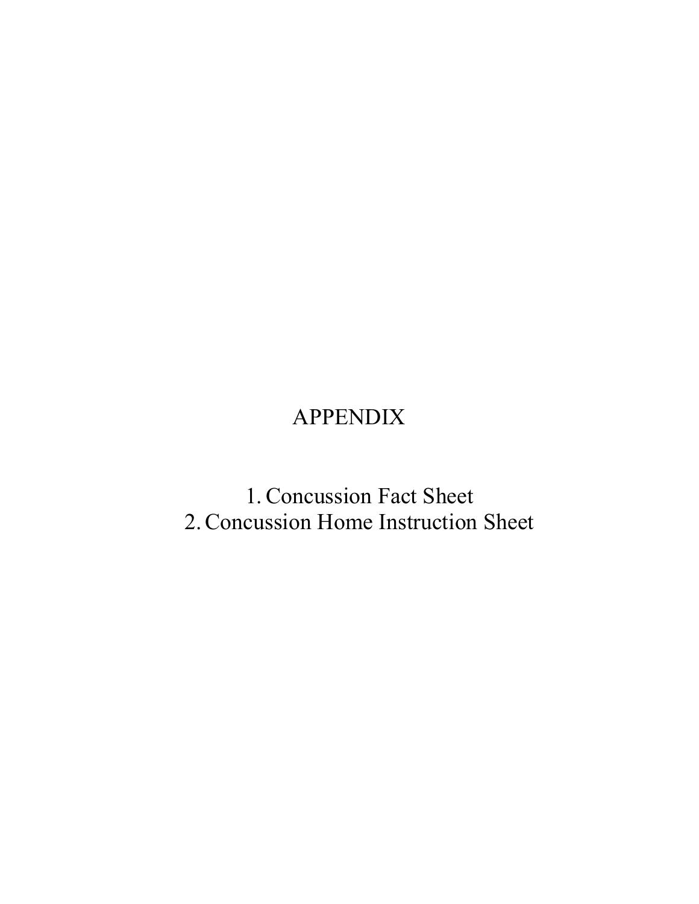# APPENDIX

1.Concussion Fact Sheet 2.Concussion Home Instruction Sheet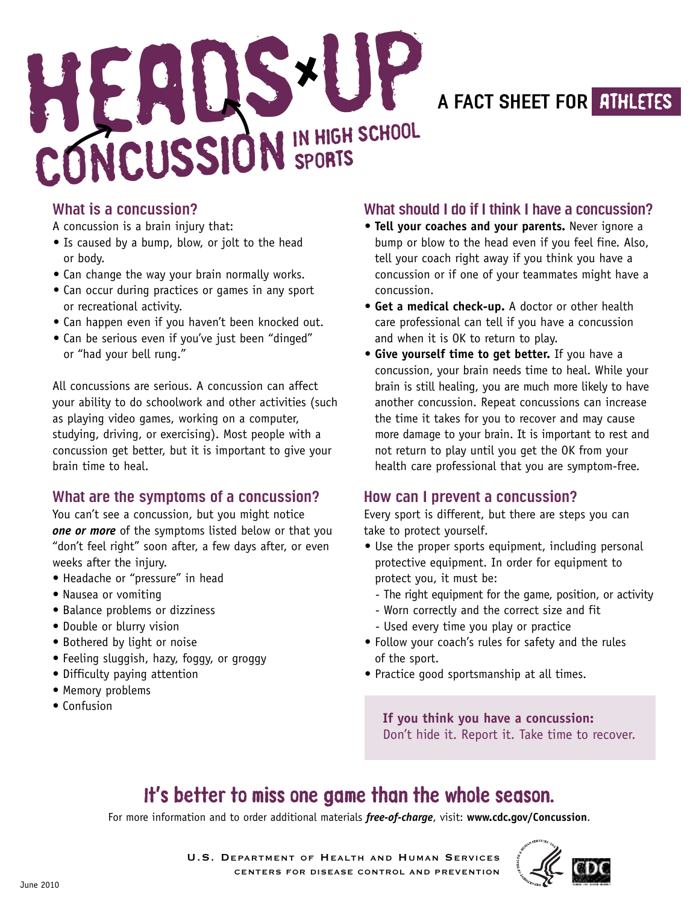

A FACT SHEET FOR ATHLETES

## What is a concussion?

A concussion is a brain injury that:

- Is caused by a bump, blow, or jolt to the head or body.
- Can change the way your brain normally works.
- Can occur during practices or games in any sport or recreational activity.
- Can happen even if you haven't been knocked out.
- Can be serious even if you've just been "dinged" or "had your bell rung."

All concussions are serious. A concussion can affect your ability to do schoolwork and other activities (such as playing video games, working on a computer, studying, driving, or exercising). Most people with a concussion get better, but it is important to give your brain time to heal.

## What are the symptoms of a concussion?

You can't see a concussion, but you might notice *one or more* of the symptoms listed below or that you "don't feel right" soon after, a few days after, or even weeks after the injury.

- Headache or "pressure" in head
- Nausea or vomiting
- Balance problems or dizziness
- Double or blurry vision
- Bothered by light or noise
- Feeling sluggish, hazy, foggy, or groggy
- Difficulty paying attention
- Memory problems
- Confusion

## What should I do if I think I have a concussion?

- **Tell your coaches and your parents.** Never ignore a bump or blow to the head even if you feel fine. Also, tell your coach right away if you think you have a concussion or if one of your teammates might have a concussion.
- **Get a medical check-up.** A doctor or other health care professional can tell if you have a concussion and when it is OK to return to play.
- **Give yourself time to get better.** If you have a concussion, your brain needs time to heal. While your brain is still healing, you are much more likely to have another concussion. Repeat concussions can increase the time it takes for you to recover and may cause more damage to your brain. It is important to rest and not return to play until you get the OK from your health care professional that you are symptom-free.

## How can I prevent a concussion?

Every sport is different, but there are steps you can take to protect yourself.

- Use the proper sports equipment, including personal protective equipment. In order for equipment to protect you, it must be:
	- The right equipment for the game, position, or activity
	- Worn correctly and the correct size and fit
	- Used every time you play or practice
- Follow your coach's rules for safety and the rules of the sport.
- Practice good sportsmanship at all times.

**If you think you have a concussion:** Don't hide it. Report it. Take time to recover.

## It's better to miss one game than the whole season.

For more information and to order additional materials *free-of-charge*, visit: **www.cdc.gov/Concussion**.



**U.S. DEPARTMENT OF HEALTH AND HUMAN SERVICES CENTERS FOR DISEASE CONTROL AND PREVENTION**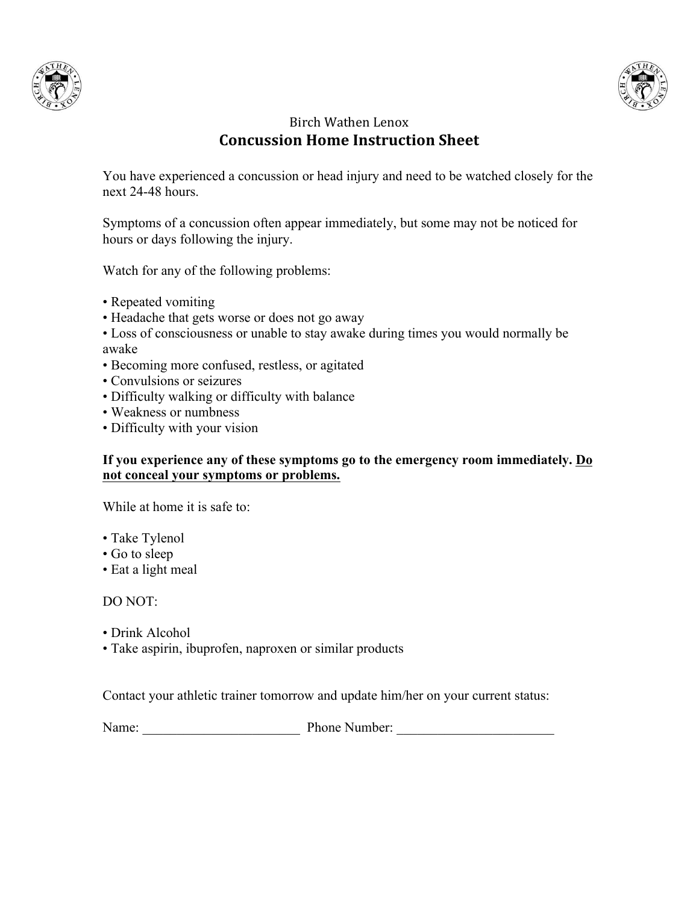



## Birch Wathen Lenox **Concussion Home Instruction Sheet**

You have experienced a concussion or head injury and need to be watched closely for the next 24-48 hours.

Symptoms of a concussion often appear immediately, but some may not be noticed for hours or days following the injury.

Watch for any of the following problems:

- Repeated vomiting
- Headache that gets worse or does not go away
- Loss of consciousness or unable to stay awake during times you would normally be awake
- Becoming more confused, restless, or agitated
- Convulsions or seizures
- Difficulty walking or difficulty with balance
- Weakness or numbness
- Difficulty with your vision

#### **If you experience any of these symptoms go to the emergency room immediately. Do not conceal your symptoms or problems.**

While at home it is safe to:

- Take Tylenol
- Go to sleep
- Eat a light meal

DO NOT:

- Drink Alcohol
- Take aspirin, ibuprofen, naproxen or similar products

Contact your athletic trainer tomorrow and update him/her on your current status:

| Name: | Phone Number: |  |
|-------|---------------|--|
|       |               |  |